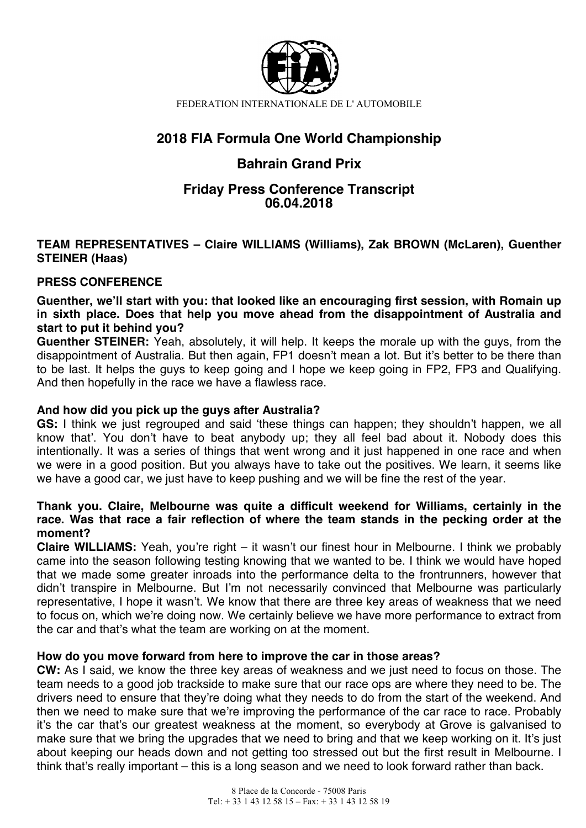

FEDERATION INTERNATIONALE DE L' AUTOMOBILE

# **2018 FIA Formula One World Championship**

## **Bahrain Grand Prix**

## **Friday Press Conference Transcript 06.04.2018**

## **TEAM REPRESENTATIVES – Claire WILLIAMS (Williams), Zak BROWN (McLaren), Guenther STEINER (Haas)**

## **PRESS CONFERENCE**

**Guenther, we'll start with you: that looked like an encouraging first session, with Romain up in sixth place. Does that help you move ahead from the disappointment of Australia and start to put it behind you?** 

**Guenther STEINER:** Yeah, absolutely, it will help. It keeps the morale up with the guys, from the disappointment of Australia. But then again, FP1 doesn't mean a lot. But it's better to be there than to be last. It helps the guys to keep going and I hope we keep going in FP2, FP3 and Qualifying. And then hopefully in the race we have a flawless race.

#### **And how did you pick up the guys after Australia?**

**GS:** I think we just regrouped and said 'these things can happen; they shouldn't happen, we all know that'. You don't have to beat anybody up; they all feel bad about it. Nobody does this intentionally. It was a series of things that went wrong and it just happened in one race and when we were in a good position. But you always have to take out the positives. We learn, it seems like we have a good car, we just have to keep pushing and we will be fine the rest of the year.

#### **Thank you. Claire, Melbourne was quite a difficult weekend for Williams, certainly in the race. Was that race a fair reflection of where the team stands in the pecking order at the moment?**

**Claire WILLIAMS:** Yeah, you're right – it wasn't our finest hour in Melbourne. I think we probably came into the season following testing knowing that we wanted to be. I think we would have hoped that we made some greater inroads into the performance delta to the frontrunners, however that didn't transpire in Melbourne. But I'm not necessarily convinced that Melbourne was particularly representative, I hope it wasn't. We know that there are three key areas of weakness that we need to focus on, which we're doing now. We certainly believe we have more performance to extract from the car and that's what the team are working on at the moment.

#### **How do you move forward from here to improve the car in those areas?**

**CW:** As I said, we know the three key areas of weakness and we just need to focus on those. The team needs to a good job trackside to make sure that our race ops are where they need to be. The drivers need to ensure that they're doing what they needs to do from the start of the weekend. And then we need to make sure that we're improving the performance of the car race to race. Probably it's the car that's our greatest weakness at the moment, so everybody at Grove is galvanised to make sure that we bring the upgrades that we need to bring and that we keep working on it. It's just about keeping our heads down and not getting too stressed out but the first result in Melbourne. I think that's really important – this is a long season and we need to look forward rather than back.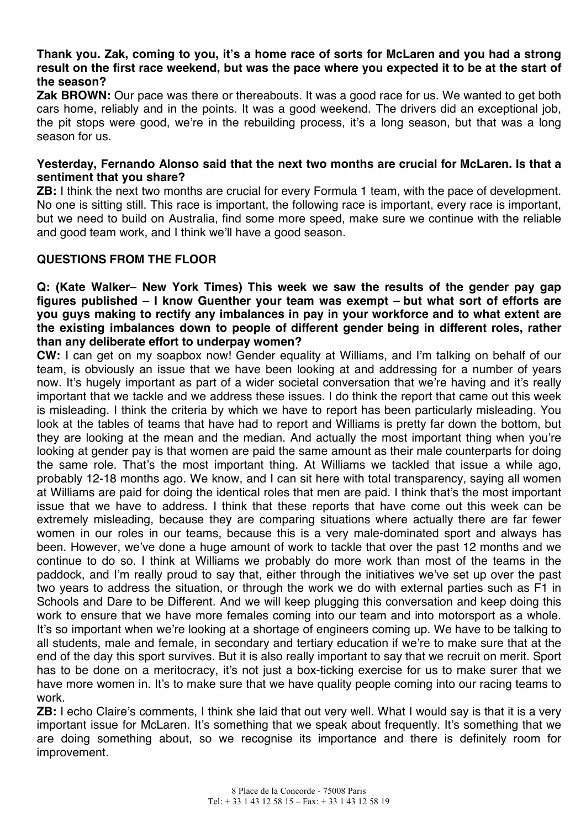### **Thank you. Zak, coming to you, it's a home race of sorts for McLaren and you had a strong result on the first race weekend, but was the pace where you expected it to be at the start of the season?**

**Zak BROWN:** Our pace was there or thereabouts. It was a good race for us. We wanted to get both cars home, reliably and in the points. It was a good weekend. The drivers did an exceptional job, the pit stops were good, we're in the rebuilding process, it's a long season, but that was a long season for us.

#### **Yesterday, Fernando Alonso said that the next two months are crucial for McLaren. Is that a sentiment that you share?**

**ZB:** I think the next two months are crucial for every Formula 1 team, with the pace of development. No one is sitting still. This race is important, the following race is important, every race is important, but we need to build on Australia, find some more speed, make sure we continue with the reliable and good team work, and I think we'll have a good season.

## **QUESTIONS FROM THE FLOOR**

### **Q: (Kate Walker– New York Times) This week we saw the results of the gender pay gap figures published – I know Guenther your team was exempt – but what sort of efforts are you guys making to rectify any imbalances in pay in your workforce and to what extent are the existing imbalances down to people of different gender being in different roles, rather than any deliberate effort to underpay women?**

**CW:** I can get on my soapbox now! Gender equality at Williams, and I'm talking on behalf of our team, is obviously an issue that we have been looking at and addressing for a number of years now. It's hugely important as part of a wider societal conversation that we're having and it's really important that we tackle and we address these issues. I do think the report that came out this week is misleading. I think the criteria by which we have to report has been particularly misleading. You look at the tables of teams that have had to report and Williams is pretty far down the bottom, but they are looking at the mean and the median. And actually the most important thing when you're looking at gender pay is that women are paid the same amount as their male counterparts for doing the same role. That's the most important thing. At Williams we tackled that issue a while ago, probably 12-18 months ago. We know, and I can sit here with total transparency, saying all women at Williams are paid for doing the identical roles that men are paid. I think that's the most important issue that we have to address. I think that these reports that have come out this week can be extremely misleading, because they are comparing situations where actually there are far fewer women in our roles in our teams, because this is a very male-dominated sport and always has been. However, we've done a huge amount of work to tackle that over the past 12 months and we continue to do so. I think at Williams we probably do more work than most of the teams in the paddock, and I'm really proud to say that, either through the initiatives we've set up over the past two years to address the situation, or through the work we do with external parties such as F1 in Schools and Dare to be Different. And we will keep plugging this conversation and keep doing this work to ensure that we have more females coming into our team and into motorsport as a whole. It's so important when we're looking at a shortage of engineers coming up. We have to be talking to all students, male and female, in secondary and tertiary education if we're to make sure that at the end of the day this sport survives. But it is also really important to say that we recruit on merit. Sport has to be done on a meritocracy, it's not just a box-ticking exercise for us to make surer that we have more women in. It's to make sure that we have quality people coming into our racing teams to work.

**ZB:** I echo Claire's comments, I think she laid that out very well. What I would say is that it is a very important issue for McLaren. It's something that we speak about frequently. It's something that we are doing something about, so we recognise its importance and there is definitely room for improvement.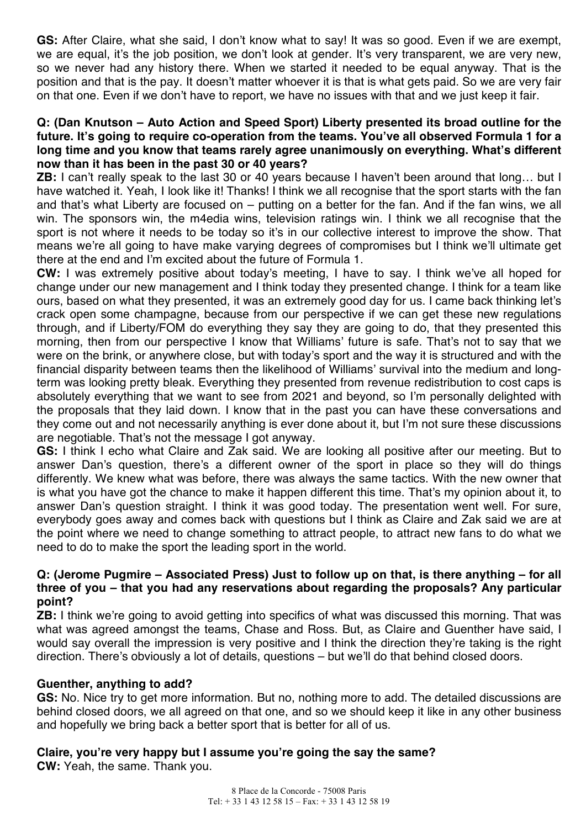**GS:** After Claire, what she said, I don't know what to say! It was so good. Even if we are exempt, we are equal, it's the job position, we don't look at gender. It's very transparent, we are very new, so we never had any history there. When we started it needed to be equal anyway. That is the position and that is the pay. It doesn't matter whoever it is that is what gets paid. So we are very fair on that one. Even if we don't have to report, we have no issues with that and we just keep it fair.

#### **Q: (Dan Knutson – Auto Action and Speed Sport) Liberty presented its broad outline for the future. It's going to require co-operation from the teams. You've all observed Formula 1 for a long time and you know that teams rarely agree unanimously on everything. What's different now than it has been in the past 30 or 40 years?**

**ZB:** I can't really speak to the last 30 or 40 years because I haven't been around that long… but I have watched it. Yeah, I look like it! Thanks! I think we all recognise that the sport starts with the fan and that's what Liberty are focused on – putting on a better for the fan. And if the fan wins, we all win. The sponsors win, the m4edia wins, television ratings win. I think we all recognise that the sport is not where it needs to be today so it's in our collective interest to improve the show. That means we're all going to have make varying degrees of compromises but I think we'll ultimate get there at the end and I'm excited about the future of Formula 1.

**CW:** I was extremely positive about today's meeting, I have to say. I think we've all hoped for change under our new management and I think today they presented change. I think for a team like ours, based on what they presented, it was an extremely good day for us. I came back thinking let's crack open some champagne, because from our perspective if we can get these new regulations through, and if Liberty/FOM do everything they say they are going to do, that they presented this morning, then from our perspective I know that Williams' future is safe. That's not to say that we were on the brink, or anywhere close, but with today's sport and the way it is structured and with the financial disparity between teams then the likelihood of Williams' survival into the medium and longterm was looking pretty bleak. Everything they presented from revenue redistribution to cost caps is absolutely everything that we want to see from 2021 and beyond, so I'm personally delighted with the proposals that they laid down. I know that in the past you can have these conversations and they come out and not necessarily anything is ever done about it, but I'm not sure these discussions are negotiable. That's not the message I got anyway.

**GS:** I think I echo what Claire and Zak said. We are looking all positive after our meeting. But to answer Dan's question, there's a different owner of the sport in place so they will do things differently. We knew what was before, there was always the same tactics. With the new owner that is what you have got the chance to make it happen different this time. That's my opinion about it, to answer Dan's question straight. I think it was good today. The presentation went well. For sure, everybody goes away and comes back with questions but I think as Claire and Zak said we are at the point where we need to change something to attract people, to attract new fans to do what we need to do to make the sport the leading sport in the world.

#### **Q: (Jerome Pugmire – Associated Press) Just to follow up on that, is there anything – for all three of you – that you had any reservations about regarding the proposals? Any particular point?**

**ZB:** I think we're going to avoid getting into specifics of what was discussed this morning. That was what was agreed amongst the teams, Chase and Ross. But, as Claire and Guenther have said, I would say overall the impression is very positive and I think the direction they're taking is the right direction. There's obviously a lot of details, questions – but we'll do that behind closed doors.

#### **Guenther, anything to add?**

**GS:** No. Nice try to get more information. But no, nothing more to add. The detailed discussions are behind closed doors, we all agreed on that one, and so we should keep it like in any other business and hopefully we bring back a better sport that is better for all of us.

**Claire, you're very happy but I assume you're going the say the same? CW:** Yeah, the same. Thank you.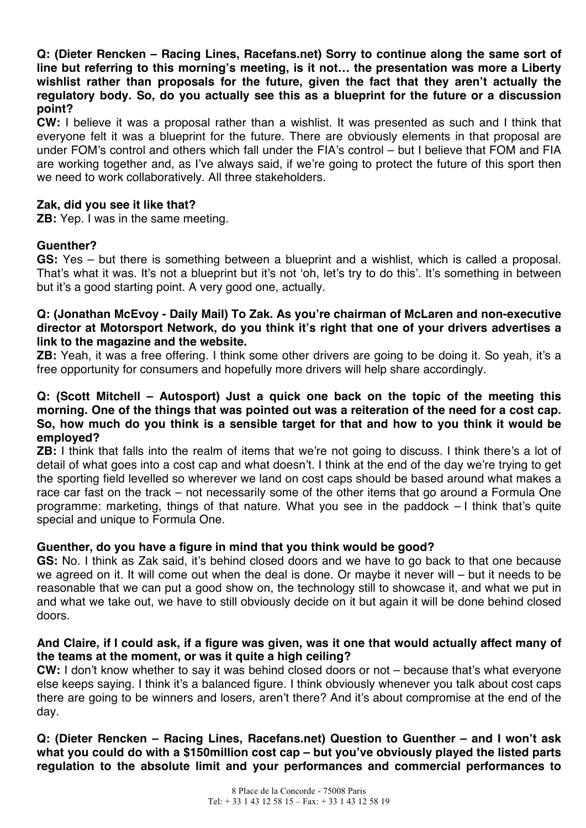**Q: (Dieter Rencken – Racing Lines, Racefans.net) Sorry to continue along the same sort of line but referring to this morning's meeting, is it not… the presentation was more a Liberty wishlist rather than proposals for the future, given the fact that they aren't actually the regulatory body. So, do you actually see this as a blueprint for the future or a discussion point?**

**CW:** I believe it was a proposal rather than a wishlist. It was presented as such and I think that everyone felt it was a blueprint for the future. There are obviously elements in that proposal are under FOM's control and others which fall under the FIA's control – but I believe that FOM and FIA are working together and, as I've always said, if we're going to protect the future of this sport then we need to work collaboratively. All three stakeholders.

#### **Zak, did you see it like that?**

**ZB:** Yep. I was in the same meeting.

#### **Guenther?**

**GS:** Yes – but there is something between a blueprint and a wishlist, which is called a proposal. That's what it was. It's not a blueprint but it's not 'oh, let's try to do this'. It's something in between but it's a good starting point. A very good one, actually.

#### **Q: (Jonathan McEvoy - Daily Mail) To Zak. As you're chairman of McLaren and non-executive director at Motorsport Network, do you think it's right that one of your drivers advertises a link to the magazine and the website.**

**ZB:** Yeah, it was a free offering. I think some other drivers are going to be doing it. So yeah, it's a free opportunity for consumers and hopefully more drivers will help share accordingly.

#### **Q: (Scott Mitchell – Autosport) Just a quick one back on the topic of the meeting this morning. One of the things that was pointed out was a reiteration of the need for a cost cap. So, how much do you think is a sensible target for that and how to you think it would be employed?**

**ZB:** I think that falls into the realm of items that we're not going to discuss. I think there's a lot of detail of what goes into a cost cap and what doesn't. I think at the end of the day we're trying to get the sporting field levelled so wherever we land on cost caps should be based around what makes a race car fast on the track – not necessarily some of the other items that go around a Formula One programme: marketing, things of that nature. What you see in the paddock – I think that's quite special and unique to Formula One.

#### **Guenther, do you have a figure in mind that you think would be good?**

**GS:** No. I think as Zak said, it's behind closed doors and we have to go back to that one because we agreed on it. It will come out when the deal is done. Or maybe it never will – but it needs to be reasonable that we can put a good show on, the technology still to showcase it, and what we put in and what we take out, we have to still obviously decide on it but again it will be done behind closed doors.

## **And Claire, if I could ask, if a figure was given, was it one that would actually affect many of the teams at the moment, or was it quite a high ceiling?**

**CW:** I don't know whether to say it was behind closed doors or not – because that's what everyone else keeps saying. I think it's a balanced figure. I think obviously whenever you talk about cost caps there are going to be winners and losers, aren't there? And it's about compromise at the end of the day.

## **Q: (Dieter Rencken – Racing Lines, Racefans.net) Question to Guenther – and I won't ask what you could do with a \$150million cost cap – but you've obviously played the listed parts regulation to the absolute limit and your performances and commercial performances to**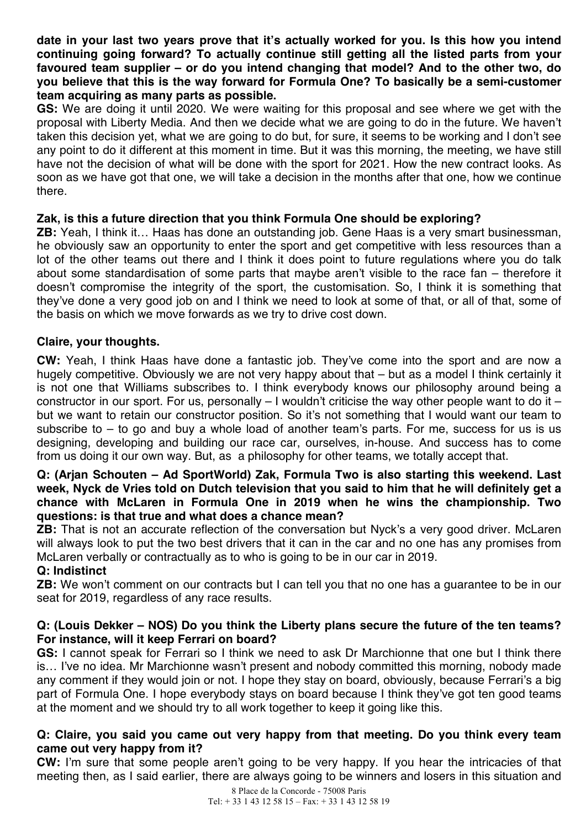**date in your last two years prove that it's actually worked for you. Is this how you intend continuing going forward? To actually continue still getting all the listed parts from your favoured team supplier – or do you intend changing that model? And to the other two, do you believe that this is the way forward for Formula One? To basically be a semi-customer team acquiring as many parts as possible.**

**GS:** We are doing it until 2020. We were waiting for this proposal and see where we get with the proposal with Liberty Media. And then we decide what we are going to do in the future. We haven't taken this decision yet, what we are going to do but, for sure, it seems to be working and I don't see any point to do it different at this moment in time. But it was this morning, the meeting, we have still have not the decision of what will be done with the sport for 2021. How the new contract looks. As soon as we have got that one, we will take a decision in the months after that one, how we continue there.

## **Zak, is this a future direction that you think Formula One should be exploring?**

**ZB:** Yeah, I think it… Haas has done an outstanding job. Gene Haas is a very smart businessman, he obviously saw an opportunity to enter the sport and get competitive with less resources than a lot of the other teams out there and I think it does point to future regulations where you do talk about some standardisation of some parts that maybe aren't visible to the race fan – therefore it doesn't compromise the integrity of the sport, the customisation. So, I think it is something that they've done a very good job on and I think we need to look at some of that, or all of that, some of the basis on which we move forwards as we try to drive cost down.

## **Claire, your thoughts.**

**CW:** Yeah, I think Haas have done a fantastic job. They've come into the sport and are now a hugely competitive. Obviously we are not very happy about that – but as a model I think certainly it is not one that Williams subscribes to. I think everybody knows our philosophy around being a constructor in our sport. For us, personally – I wouldn't criticise the way other people want to do it – but we want to retain our constructor position. So it's not something that I would want our team to subscribe to – to go and buy a whole load of another team's parts. For me, success for us is us designing, developing and building our race car, ourselves, in-house. And success has to come from us doing it our own way. But, as a philosophy for other teams, we totally accept that.

#### **Q: (Arjan Schouten – Ad SportWorld) Zak, Formula Two is also starting this weekend. Last week, Nyck de Vries told on Dutch television that you said to him that he will definitely get a chance with McLaren in Formula One in 2019 when he wins the championship. Two questions: is that true and what does a chance mean?**

**ZB:** That is not an accurate reflection of the conversation but Nyck's a very good driver. McLaren will always look to put the two best drivers that it can in the car and no one has any promises from McLaren verbally or contractually as to who is going to be in our car in 2019.

#### **Q: Indistinct**

**ZB:** We won't comment on our contracts but I can tell you that no one has a guarantee to be in our seat for 2019, regardless of any race results.

#### **Q: (Louis Dekker – NOS) Do you think the Liberty plans secure the future of the ten teams? For instance, will it keep Ferrari on board?**

**GS:** I cannot speak for Ferrari so I think we need to ask Dr Marchionne that one but I think there is… I've no idea. Mr Marchionne wasn't present and nobody committed this morning, nobody made any comment if they would join or not. I hope they stay on board, obviously, because Ferrari's a big part of Formula One. I hope everybody stays on board because I think they've got ten good teams at the moment and we should try to all work together to keep it going like this.

#### **Q: Claire, you said you came out very happy from that meeting. Do you think every team came out very happy from it?**

**CW:** I'm sure that some people aren't going to be very happy. If you hear the intricacies of that meeting then, as I said earlier, there are always going to be winners and losers in this situation and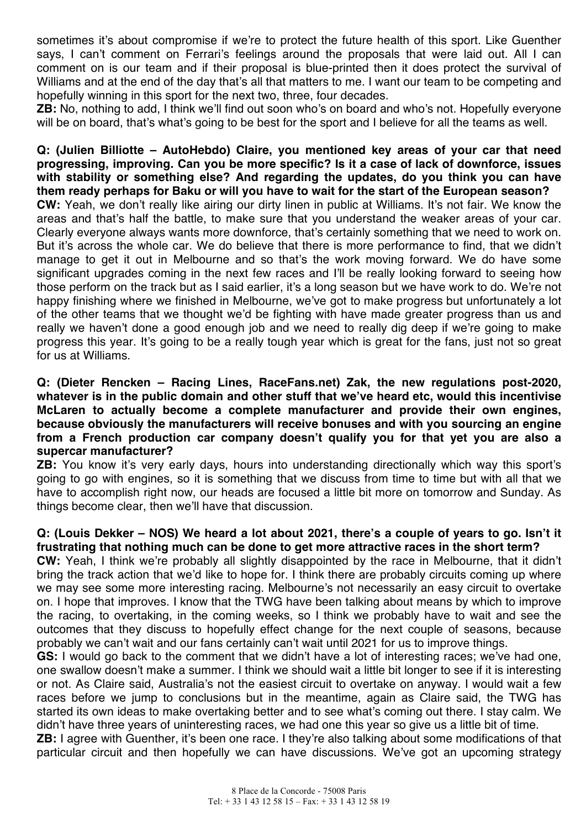sometimes it's about compromise if we're to protect the future health of this sport. Like Guenther says, I can't comment on Ferrari's feelings around the proposals that were laid out. All I can comment on is our team and if their proposal is blue-printed then it does protect the survival of Williams and at the end of the day that's all that matters to me. I want our team to be competing and hopefully winning in this sport for the next two, three, four decades.

**ZB:** No, nothing to add, I think we'll find out soon who's on board and who's not. Hopefully everyone will be on board, that's what's going to be best for the sport and I believe for all the teams as well.

**Q: (Julien Billiotte – AutoHebdo) Claire, you mentioned key areas of your car that need progressing, improving. Can you be more specific? Is it a case of lack of downforce, issues with stability or something else? And regarding the updates, do you think you can have them ready perhaps for Baku or will you have to wait for the start of the European season? CW:** Yeah, we don't really like airing our dirty linen in public at Williams. It's not fair. We know the areas and that's half the battle, to make sure that you understand the weaker areas of your car. Clearly everyone always wants more downforce, that's certainly something that we need to work on. But it's across the whole car. We do believe that there is more performance to find, that we didn't manage to get it out in Melbourne and so that's the work moving forward. We do have some significant upgrades coming in the next few races and I'll be really looking forward to seeing how those perform on the track but as I said earlier, it's a long season but we have work to do. We're not happy finishing where we finished in Melbourne, we've got to make progress but unfortunately a lot of the other teams that we thought we'd be fighting with have made greater progress than us and really we haven't done a good enough job and we need to really dig deep if we're going to make progress this year. It's going to be a really tough year which is great for the fans, just not so great for us at Williams.

### **Q: (Dieter Rencken – Racing Lines, RaceFans.net) Zak, the new regulations post-2020, whatever is in the public domain and other stuff that we've heard etc, would this incentivise McLaren to actually become a complete manufacturer and provide their own engines, because obviously the manufacturers will receive bonuses and with you sourcing an engine from a French production car company doesn't qualify you for that yet you are also a supercar manufacturer?**

**ZB:** You know it's very early days, hours into understanding directionally which way this sport's going to go with engines, so it is something that we discuss from time to time but with all that we have to accomplish right now, our heads are focused a little bit more on tomorrow and Sunday. As things become clear, then we'll have that discussion.

#### **Q: (Louis Dekker – NOS) We heard a lot about 2021, there's a couple of years to go. Isn't it frustrating that nothing much can be done to get more attractive races in the short term?**

**CW:** Yeah, I think we're probably all slightly disappointed by the race in Melbourne, that it didn't bring the track action that we'd like to hope for. I think there are probably circuits coming up where we may see some more interesting racing. Melbourne's not necessarily an easy circuit to overtake on. I hope that improves. I know that the TWG have been talking about means by which to improve the racing, to overtaking, in the coming weeks, so I think we probably have to wait and see the outcomes that they discuss to hopefully effect change for the next couple of seasons, because probably we can't wait and our fans certainly can't wait until 2021 for us to improve things.

**GS:** I would go back to the comment that we didn't have a lot of interesting races; we've had one, one swallow doesn't make a summer. I think we should wait a little bit longer to see if it is interesting or not. As Claire said, Australia's not the easiest circuit to overtake on anyway. I would wait a few races before we jump to conclusions but in the meantime, again as Claire said, the TWG has started its own ideas to make overtaking better and to see what's coming out there. I stay calm. We didn't have three years of uninteresting races, we had one this year so give us a little bit of time.

**ZB:** I agree with Guenther, it's been one race. I they're also talking about some modifications of that particular circuit and then hopefully we can have discussions. We've got an upcoming strategy